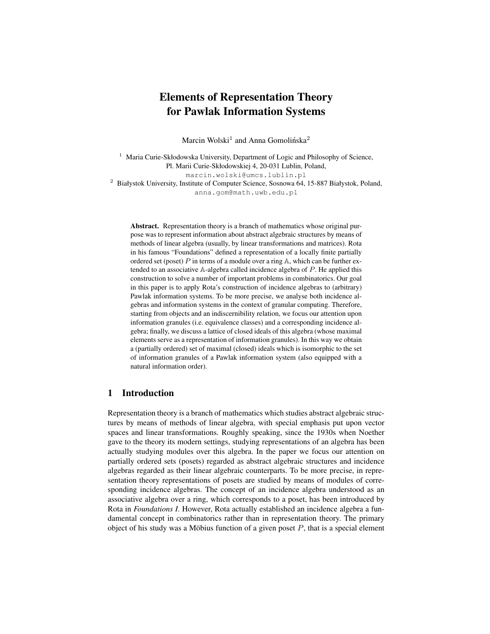# Elements of Representation Theory for Pawlak Information Systems

Marcin Wolski<sup>1</sup> and Anna Gomolińska<sup>2</sup>

<sup>1</sup> Maria Curie-Skłodowska University, Department of Logic and Philosophy of Science, Pl. Marii Curie-Skłodowskiej 4, 20-031 Lublin, Poland, marcin.wolski@umcs.lublin.pl <sup>2</sup> Białystok University, Institute of Computer Science, Sosnowa 64, 15-887 Białystok, Poland,

anna.gom@math.uwb.edu.pl

Abstract. Representation theory is a branch of mathematics whose original purpose was to represent information about abstract algebraic structures by means of methods of linear algebra (usually, by linear transformations and matrices). Rota in his famous "Foundations" defined a representation of a locally finite partially ordered set (poset) P in terms of a module over a ring  $A$ , which can be further extended to an associative A-algebra called incidence algebra of P. He applied this construction to solve a number of important problems in combinatorics. Our goal in this paper is to apply Rota's construction of incidence algebras to (arbitrary) Pawlak information systems. To be more precise, we analyse both incidence algebras and information systems in the context of granular computing. Therefore, starting from objects and an indiscernibility relation, we focus our attention upon information granules (i.e. equivalence classes) and a corresponding incidence algebra; finally, we discuss a lattice of closed ideals of this algebra (whose maximal elements serve as a representation of information granules). In this way we obtain a (partially ordered) set of maximal (closed) ideals which is isomorphic to the set of information granules of a Pawlak information system (also equipped with a natural information order).

# 1 Introduction

Representation theory is a branch of mathematics which studies abstract algebraic structures by means of methods of linear algebra, with special emphasis put upon vector spaces and linear transformations. Roughly speaking, since the 1930s when Noether gave to the theory its modern settings, studying representations of an algebra has been actually studying modules over this algebra. In the paper we focus our attention on partially ordered sets (posets) regarded as abstract algebraic structures and incidence algebras regarded as their linear algebraic counterparts. To be more precise, in representation theory representations of posets are studied by means of modules of corresponding incidence algebras. The concept of an incidence algebra understood as an associative algebra over a ring, which corresponds to a poset, has been introduced by Rota in *Foundations I*. However, Rota actually established an incidence algebra a fundamental concept in combinatorics rather than in representation theory. The primary object of his study was a Möbius function of a given poset  $P$ , that is a special element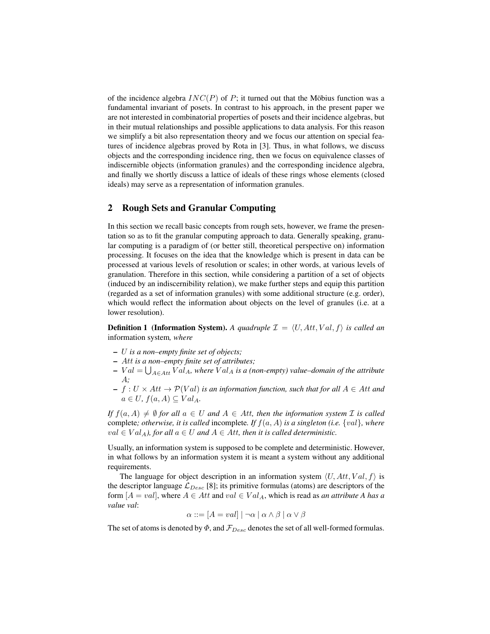of the incidence algebra  $INC(P)$  of P; it turned out that the Möbius function was a fundamental invariant of posets. In contrast to his approach, in the present paper we are not interested in combinatorial properties of posets and their incidence algebras, but in their mutual relationships and possible applications to data analysis. For this reason we simplify a bit also representation theory and we focus our attention on special features of incidence algebras proved by Rota in [3]. Thus, in what follows, we discuss objects and the corresponding incidence ring, then we focus on equivalence classes of indiscernible objects (information granules) and the corresponding incidence algebra, and finally we shortly discuss a lattice of ideals of these rings whose elements (closed ideals) may serve as a representation of information granules.

#### 2 Rough Sets and Granular Computing

In this section we recall basic concepts from rough sets, however, we frame the presentation so as to fit the granular computing approach to data. Generally speaking, granular computing is a paradigm of (or better still, theoretical perspective on) information processing. It focuses on the idea that the knowledge which is present in data can be processed at various levels of resolution or scales; in other words, at various levels of granulation. Therefore in this section, while considering a partition of a set of objects (induced by an indiscernibility relation), we make further steps and equip this partition (regarded as a set of information granules) with some additional structure (e.g. order), which would reflect the information about objects on the level of granules (i.e. at a lower resolution).

**Definition 1 (Information System).** A quadruple  $\mathcal{I} = \langle U, Att, Val, f \rangle$  is called an information system*, where*

- U *is a non–empty finite set of objects;*
- Att *is a non–empty finite set of attributes;*
- $Val = \bigcup_{A \in Att} Val_A$ , where  $Val_A$  is a (non-empty) value–domain of the attribute A*;*
- $f : U \times Att \rightarrow \mathcal{P}(Val)$  *is an information function, such that for all*  $A \in Att$  *and*  $a \in U$ ,  $f(a, A) \subseteq Val_A$ .

*If*  $f(a, A) \neq \emptyset$  *for all*  $a \in U$  *and*  $A \in Att$ *, then the information system I is called* complete*; otherwise, it is called* incomplete*. If* f(a, A) *is a singleton (i.e.* {val}*, where*  $val \in Val_A$ , for all  $a \in U$  and  $A \in Att$ , then it is called deterministic.

Usually, an information system is supposed to be complete and deterministic. However, in what follows by an information system it is meant a system without any additional requirements.

The language for object description in an information system  $\langle U, Att, Val, f \rangle$  is the descriptor language  $\mathcal{L}_{Desc}$  [8]; its primitive formulas (atoms) are descriptors of the form  $[A = val]$ , where  $A \in Att$  and  $val \in Val_A$ , which is read as *an attribute A has a value val*:

$$
\alpha ::= [A = val] | \neg \alpha | \alpha \wedge \beta | \alpha \vee \beta
$$

The set of atoms is denoted by  $\Phi$ , and  $\mathcal{F}_{Desc}$  denotes the set of all well-formed formulas.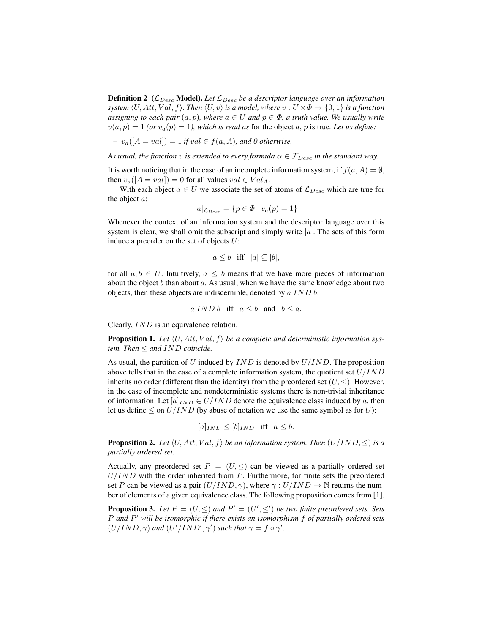**Definition 2** ( $\mathcal{L}_{Desc}$  **Model).** Let  $\mathcal{L}_{Desc}$  *be a descriptor language over an information system*  $\langle U, Att, Val, f \rangle$ *. Then*  $\langle U, v \rangle$  *is a model, where*  $v : U \times \Phi \to \{0, 1\}$  *is a function assigning to each pair*  $(a, p)$ *, where*  $a \in U$  *and*  $p \in \Phi$ *, a truth value. We usually write*  $v(a, p) = 1$  *(or*  $v_a(p) = 1$ *), which is read as for the object a, p is true. Let us define:* 

– va([A = val]) = 1 *if* val ∈ f(a, A)*, and 0 otherwise.*

*As usual, the function v is extended to every formula*  $\alpha \in \mathcal{F}_{Desc}$  *in the standard way.* 

It is worth noticing that in the case of an incomplete information system, if  $f(a, A) = \emptyset$ , then  $v_a([A = val]) = 0$  for all values  $val \in Val_A$ .

With each object  $a \in U$  we associate the set of atoms of  $\mathcal{L}_{Desc}$  which are true for the object a:

$$
|a|_{\mathcal{L}_{Desc}} = \{ p \in \Phi \mid v_a(p) = 1 \}
$$

Whenever the context of an information system and the descriptor language over this system is clear, we shall omit the subscript and simply write  $|a|$ . The sets of this form induce a preorder on the set of objects U:

$$
a \leq b
$$
 iff  $|a| \subseteq |b|$ ,

for all  $a, b \in U$ . Intuitively,  $a \leq b$  means that we have more pieces of information about the object  $b$  than about  $a$ . As usual, when we have the same knowledge about two objects, then these objects are indiscernible, denoted by  $\alpha$  IND  $\delta$ :

$$
a \, IND \, b
$$
 iff  $a \leq b$  and  $b \leq a$ .

Clearly, IND is an equivalence relation.

**Proposition 1.** Let  $\langle U, Att, Val, f \rangle$  be a complete and deterministic information sys*tem. Then*  $\leq$  *and IND coincide.* 

As usual, the partition of U induced by  $IND$  is denoted by  $U/IND$ . The proposition above tells that in the case of a complete information system, the quotient set  $U/IND$ inherits no order (different than the identity) from the preordered set  $(U, \leq)$ . However, in the case of incomplete and nondeterministic systems there is non-trivial inheritance of information. Let  $[a]_{IND} \in U/IND$  denote the equivalence class induced by a, then let us define  $\leq$  on  $U/IND$  (by abuse of notation we use the same symbol as for U):

$$
[a]_{IND} \leq [b]_{IND}
$$
 iff  $a \leq b$ .

**Proposition 2.** Let  $\langle U, Att, Val, f \rangle$  be an information system. Then  $(U/IND, \leq)$  is a *partially ordered set.*

Actually, any preordered set  $P = (U, \leq)$  can be viewed as a partially ordered set  $U/IND$  with the order inherited from  $P$ . Furthermore, for finite sets the preordered set P can be viewed as a pair  $(U/IND, \gamma)$ , where  $\gamma : U/IND \to \mathbb{N}$  returns the number of elements of a given equivalence class. The following proposition comes from [1].

**Proposition 3.** Let  $P = (U, \leq)$  and  $P' = (U', \leq')$  be two finite preordered sets. Sets P *and* P <sup>0</sup> *will be isomorphic if there exists an isomorphism* f *of partially ordered sets*  $(U/IND, \gamma)$  and  $(U'/IND', \gamma')$  such that  $\gamma = f \circ \gamma'$ .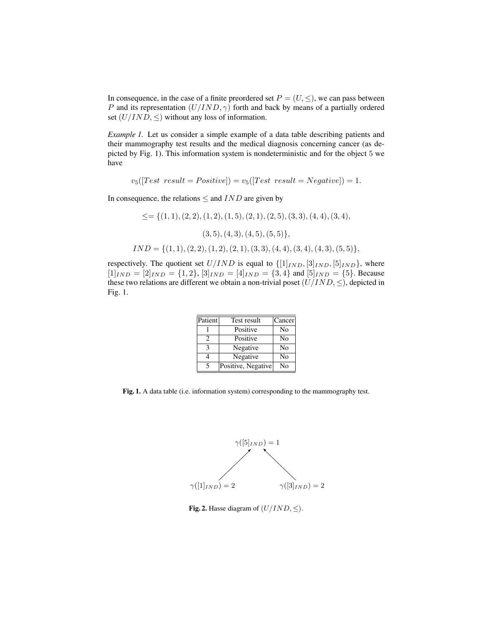In consequence, in the case of a finite preordered set  $P = (U, \leq)$ , we can pass between P and its representation  $(U/IND, \gamma)$  forth and back by means of a partially ordered set  $(U/IND, \leq)$  without any loss of information.

*Example 1.* Let us consider a simple example of a data table describing patients and their mammography test results and the medical diagnosis concerning cancer (as depicted by Fig. 1). This information system is nondeterministic and for the object 5 we have

 $v_5([Test result = Positive]) = v_5([Test result = Negative]) = 1.$ 

In consequence, the relations  $\leq$  and  $IND$  are given by

 $\leq = \{(1, 1), (2, 2), (1, 2), (1, 5), (2, 1), (2, 5), (3, 3), (4, 4), (3, 4),$  $(3, 5), (4, 3), (4, 5), (5, 5)\},\$  $IND = \{(1, 1), (2, 2), (1, 2), (2, 1), (3, 3), (4, 4), (3, 4), (4, 3), (5, 5)\},\$ 

respectively. The quotient set  $U/IND$  is equal to  $\{[1]_{IND}, [3]_{IND}, [5]_{IND}\}$ , where  $[1]_{IND} = [2]_{IND} = \{1, 2\}, [3]_{IND} = [4]_{IND} = \{3, 4\}$  and  $[5]_{IND} = \{5\}$ . Because these two relations are different we obtain a non-trivial poset  $(U/IND, \leq)$ , depicted in Fig. 1.

| Patient                     | Test result        | Cancer |
|-----------------------------|--------------------|--------|
|                             | Positive           | No     |
| $\mathcal{D}_{\mathcal{L}}$ | Positive           | No     |
| 3                           | Negative           | No     |
|                             | Negative           | No     |
| 5                           | Positive, Negative | Nο     |

Fig. 1. A data table (i.e. information system) corresponding to the mammography test.



Fig. 2. Hasse diagram of  $(U/IND, \leq)$ .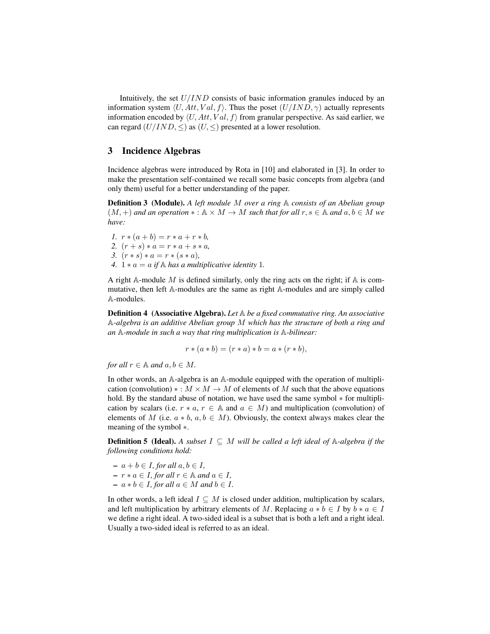Intuitively, the set  $U/IND$  consists of basic information granules induced by an information system  $\langle U, Att, Val, f \rangle$ . Thus the poset  $(U/IND, \gamma)$  actually represents information encoded by  $\langle U, Att, Val, f \rangle$  from granular perspective. As said earlier, we can regard  $(U/IND, \leq)$  as  $(U, \leq)$  presented at a lower resolution.

### 3 Incidence Algebras

Incidence algebras were introduced by Rota in [10] and elaborated in [3]. In order to make the presentation self-contained we recall some basic concepts from algebra (and only them) useful for a better understanding of the paper.

**Definition 3** (Module). A left module M over a ring A consists of an Abelian group  $(M, +)$  *and an operation*  $* : A \times M \rightarrow M$  *such that for all*  $r, s \in A$  *and*  $a, b \in M$  *we have:*

*1.*  $r * (a + b) = r * a + r * b$ , 2.  $(r + s) * a = r * a + s * a$ , *3.*  $(r * s) * a = r * (s * a)$ , *4.*  $1 * a = a$  *if* A *has a multiplicative identity* 1*.* 

A right A-module M is defined similarly, only the ring acts on the right; if  $A$  is commutative, then left A-modules are the same as right A-modules and are simply called A-modules.

Definition 4 (Associative Algebra). *Let* A *be a fixed commutative ring. An associative* A*-algebra is an additive Abelian group* M *which has the structure of both a ring and an* A*-module in such a way that ring multiplication is* A*-bilinear:*

$$
r * (a * b) = (r * a) * b = a * (r * b),
$$

*for all*  $r \in \mathbb{A}$  *and*  $a, b \in M$ .

In other words, an A-algebra is an A-module equipped with the operation of multiplication (convolution)  $* : M \times M \to M$  of elements of M such that the above equations hold. By the standard abuse of notation, we have used the same symbol ∗ for multiplication by scalars (i.e.  $r * a, r \in A$  and  $a \in M$ ) and multiplication (convolution) of elements of M (i.e.  $a * b$ ,  $a, b \in M$ ). Obviously, the context always makes clear the meaning of the symbol ∗.

**Definition 5 (Ideal).** A subset  $I \subseteq M$  will be called a left ideal of  $\mathbb{A}$ -algebra if the *following conditions hold:*

– a + b ∈ I*, for all* a, b ∈ I*,*  $- r * a \in I$ *, for all*  $r \in \mathbb{A}$  *and*  $a \in I$ *,* – a ∗ b ∈ I*, for all* a ∈ M *and* b ∈ I*.*

In other words, a left ideal  $I \subseteq M$  is closed under addition, multiplication by scalars, and left multiplication by arbitrary elements of M. Replacing  $a * b \in I$  by  $b * a \in I$ we define a right ideal. A two-sided ideal is a subset that is both a left and a right ideal. Usually a two-sided ideal is referred to as an ideal.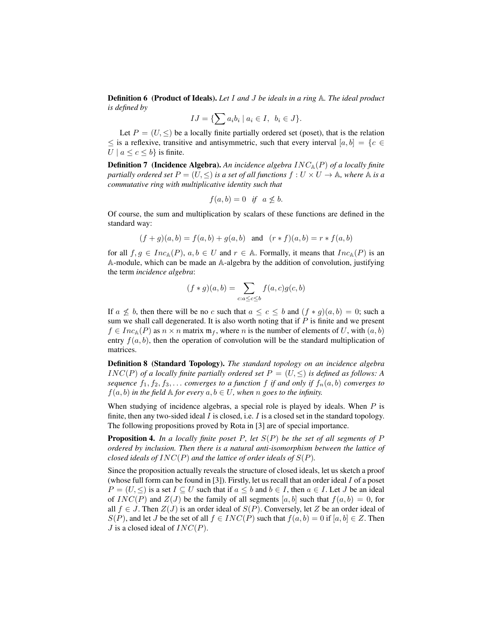Definition 6 (Product of Ideals). *Let* I *and* J *be ideals in a ring* A*. The ideal product is defined by*

$$
IJ = \{ \sum a_i b_i \mid a_i \in I, \ b_i \in J \}.
$$

Let  $P = (U, \leq)$  be a locally finite partially ordered set (poset), that is the relation  $\leq$  is a reflexive, transitive and antisymmetric, such that every interval  $[a, b] = \{c \in \mathbb{R}^d : |c| \leq 1\}$  $U \mid a \leq c \leq b$  is finite.

**Definition 7** (Incidence Algebra). An incidence algebra  $INC_{\mathbb{A}}(P)$  of a locally finite *partially ordered set*  $P = (U, \leq)$  *is a set of all functions*  $f : U \times U \rightarrow \mathbb{A}$ *, where*  $\mathbb{A}$  *is a commutative ring with multiplicative identity such that*

$$
f(a,b) = 0 \quad \text{if} \quad a \not\leq b.
$$

Of course, the sum and multiplication by scalars of these functions are defined in the standard way:

$$
(f+g)(a, b) = f(a, b) + g(a, b)
$$
 and  $(r * f)(a, b) = r * f(a, b)$ 

for all  $f, g \in Inc_{\mathbb{A}}(P), a, b \in U$  and  $r \in \mathbb{A}$ . Formally, it means that  $Inc_{\mathbb{A}}(P)$  is an A-module, which can be made an A-algebra by the addition of convolution, justifying the term *incidence algebra*:

$$
(f * g)(a, b) = \sum_{c:a \le c \le b} f(a, c)g(c, b)
$$

If  $a \nleq b$ , then there will be no c such that  $a \leq c \leq b$  and  $(f * g)(a, b) = 0$ ; such a sum we shall call degenerated. It is also worth noting that if  $P$  is finite and we present  $f \in Inc_A(P)$  as  $n \times n$  matrix  $\mathfrak{m}_f$ , where n is the number of elements of U, with  $(a, b)$ entry  $f(a, b)$ , then the operation of convolution will be the standard multiplication of matrices.

Definition 8 (Standard Topology). *The standard topology on an incidence algebra* INC(P) of a locally finite partially ordered set  $P = (U, \leq)$  is defined as follows: A *sequence*  $f_1, f_2, f_3, \ldots$  *converges to a function*  $f$  *if and only if*  $f_n(a, b)$  *converges to*  $f(a, b)$  *in the field* A *for every*  $a, b \in U$ *, when* n *goes to the infinity.* 

When studying of incidence algebras, a special role is played by ideals. When  $P$  is finite, then any two-sided ideal I is closed, i.e. I is a closed set in the standard topology. The following propositions proved by Rota in [3] are of special importance.

Proposition 4. *In a locally finite poset* P*, let* S(P) *be the set of all segments of* P *ordered by inclusion. Then there is a natural anti-isomorphism between the lattice of closed ideals of*  $INC(P)$  *and the lattice of order ideals of*  $S(P)$ *.* 

Since the proposition actually reveals the structure of closed ideals, let us sketch a proof (whose full form can be found in  $[3]$ ). Firstly, let us recall that an order ideal  $I$  of a poset  $P = (U, \leq)$  is a set  $I \subseteq U$  such that if  $a \leq b$  and  $b \in I$ , then  $a \in I$ . Let J be an ideal of  $INC(P)$  and  $Z(J)$  be the family of all segments [a, b] such that  $f(a, b) = 0$ , for all  $f \in J$ . Then  $Z(J)$  is an order ideal of  $S(P)$ . Conversely, let Z be an order ideal of  $S(P)$ , and let J be the set of all  $f \in INC(P)$  such that  $f(a, b) = 0$  if  $[a, b] \in Z$ . Then  $J$  is a closed ideal of  $INC(P)$ .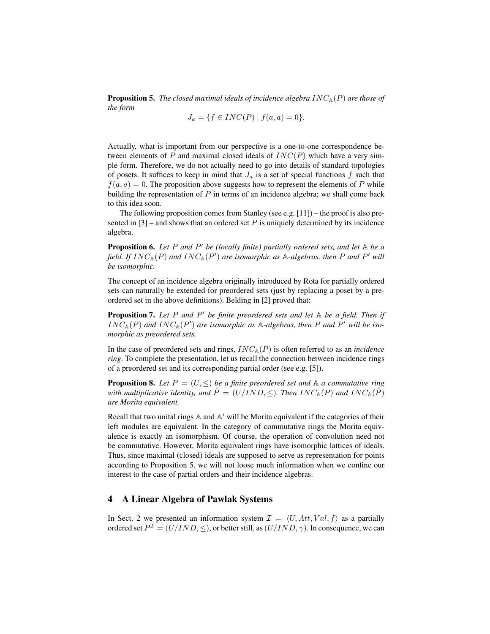**Proposition 5.** *The closed maximal ideals of incidence algebra*  $INC_A(P)$  *are those of the form*

$$
J_a = \{ f \in INC(P) \mid f(a, a) = 0 \}.
$$

Actually, what is important from our perspective is a one-to-one correspondence between elements of P and maximal closed ideals of  $INC(P)$  which have a very simple form. Therefore, we do not actually need to go into details of standard topologies of posets. It suffices to keep in mind that  $J_a$  is a set of special functions f such that  $f(a, a) = 0$ . The proposition above suggests how to represent the elements of P while building the representation of  $P$  in terms of an incidence algebra; we shall come back to this idea soon.

The following proposition comes from Stanley (see e.g.  $[11]$ ) – the proof is also presented in  $[3]$  – and shows that an ordered set P is uniquely determined by its incidence algebra.

**Proposition 6.** Let P and P' be (locally finite) partially ordered sets, and let A be a field. If  $INC_A(P)$  and  $INC_A(P')$  are isomorphic as  $A$ -algebras, then P and P' will *be isomorphic.*

The concept of an incidence algebra originally introduced by Rota for partially ordered sets can naturally be extended for preordered sets (just by replacing a poset by a preordered set in the above definitions). Belding in [2] proved that:

**Proposition 7.** Let P and P' be finite preordered sets and let A be a field. Then if  $INC_A(P)$  and  $INC_A(P')$  are isomorphic as  $A$ -algebras, then P and P' will be iso*morphic as preordered sets.*

In the case of preordered sets and rings,  $INC_A(P)$  is often referred to as an *incidence ring*. To complete the presentation, let us recall the connection between incidence rings of a preordered set and its corresponding partial order (see e.g. [5]).

**Proposition 8.** Let  $P = (U, \leq)$  be a finite preordered set and  $\mathbb A$  a commutative ring *with multiplicative identity, and*  $\hat{P} = (U/IND, \leq)$ *. Then*  $INC_{A}(P)$  *and*  $INC_{A}(P)$ <sup>*i*</sup> *are Morita equivalent.*

Recall that two unital rings  $A$  and  $A'$  will be Morita equivalent if the categories of their left modules are equivalent. In the category of commutative rings the Morita equivalence is exactly an isomorphism. Of course, the operation of convolution need not be commutative. However, Morita equivalent rings have isomorphic lattices of ideals. Thus, since maximal (closed) ideals are supposed to serve as representation for points according to Proposition 5, we will not loose much information when we confine our interest to the case of partial orders and their incidence algebras.

# 4 A Linear Algebra of Pawlak Systems

In Sect. 2 we presented an information system  $\mathcal{I} = \langle U, Att, Val, f \rangle$  as a partially ordered set  $P^{\mathcal{I}} = (U/IND, \leq)$ , or better still, as  $(U/IND, \gamma)$ . In consequence, we can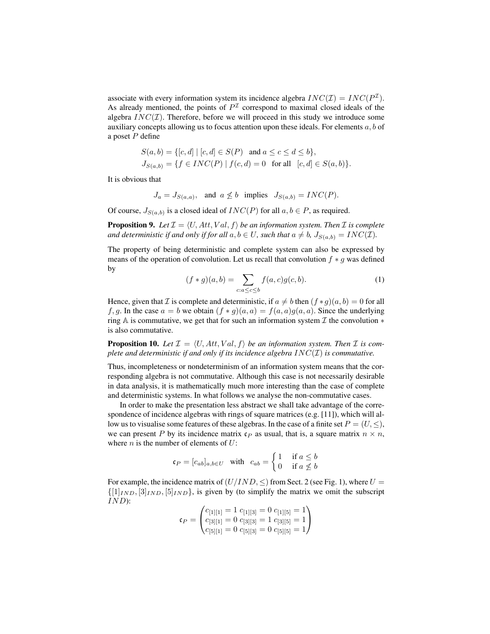associate with every information system its incidence algebra  $INC(\mathcal{I}) = INC(P^{\mathcal{I}})$ . As already mentioned, the points of  $P<sup>\mathcal I</sup>$  correspond to maximal closed ideals of the algebra  $INC(\mathcal{I})$ . Therefore, before we will proceed in this study we introduce some auxiliary concepts allowing us to focus attention upon these ideals. For elements  $a, b$  of a poset  $P$  define

$$
S(a, b) = \{ [c, d] \mid [c, d] \in S(P) \text{ and } a \le c \le d \le b \},
$$
  
\n
$$
J_{S(a, b)} = \{ f \in INC(P) \mid f(c, d) = 0 \text{ for all } [c, d] \in S(a, b) \}.
$$

It is obvious that

$$
J_a = J_{S(a,a)}, \text{ and } a \not\leq b \text{ implies } J_{S(a,b)} = INC(P).
$$

Of course,  $J_{S(a,b)}$  is a closed ideal of  $INC(P)$  for all  $a, b \in P$ , as required.

**Proposition 9.** Let  $\mathcal{I} = \langle U, Att, Val, f \rangle$  *be an information system. Then*  $\mathcal{I}$  *is complete and deterministic if and only if for all*  $a, b \in U$ *, such that*  $a \neq b$ *,*  $J_{S(a,b)} = INC(\mathcal{I})$ *.* 

The property of being deterministic and complete system can also be expressed by means of the operation of convolution. Let us recall that convolution  $f * g$  was defined by

$$
(f * g)(a, b) = \sum_{c:a \leq c \leq b} f(a, c)g(c, b).
$$
 (1)

Hence, given that I is complete and deterministic, if  $a \neq b$  then  $(f * q)(a, b) = 0$  for all f, g. In the case  $a = b$  we obtain  $(f * g)(a, a) = f(a, a)g(a, a)$ . Since the underlying ring A is commutative, we get that for such an information system  $\mathcal I$  the convolution  $*$ is also commutative.

**Proposition 10.** Let  $\mathcal{I} = \langle U, Att, Val, f \rangle$  be an information system. Then  $\mathcal{I}$  is com*plete and deterministic if and only if its incidence algebra* INC(I) *is commutative.*

Thus, incompleteness or nondeterminism of an information system means that the corresponding algebra is not commutative. Although this case is not necessarily desirable in data analysis, it is mathematically much more interesting than the case of complete and deterministic systems. In what follows we analyse the non-commutative cases.

In order to make the presentation less abstract we shall take advantage of the correspondence of incidence algebras with rings of square matrices (e.g.  $[11]$ ), which will allow us to visualise some features of these algebras. In the case of a finite set  $P = (U, \leq),$ we can present P by its incidence matrix  $c_P$  as usual, that is, a square matrix  $n \times n$ , where  $n$  is the number of elements of  $U$ :

$$
\mathfrak{c}_P = [c_{ab}]_{a,b \in U} \quad \text{with} \quad c_{ab} = \begin{cases} 1 & \text{if } a \le b \\ 0 & \text{if } a \not\le b \end{cases}
$$

For example, the incidence matrix of  $(U/IND, \leq)$  from Sect. 2 (see Fig. 1), where  $U =$  $\{[1]_{IND}, [3]_{IND}, [5]_{IND}\}$ , is given by (to simplify the matrix we omit the subscript IND):

$$
\mathfrak{c}_P = \begin{pmatrix} c_{[1][1]} = 1 & c_{[1][3]} = 0 & c_{[1][5]} = 1 \\ c_{[3][1]} = 0 & c_{[3][3]} = 1 & c_{[3][5]} = 1 \\ c_{[5][1]} = 0 & c_{[5][3]} = 0 & c_{[5][5]} = 1 \end{pmatrix}
$$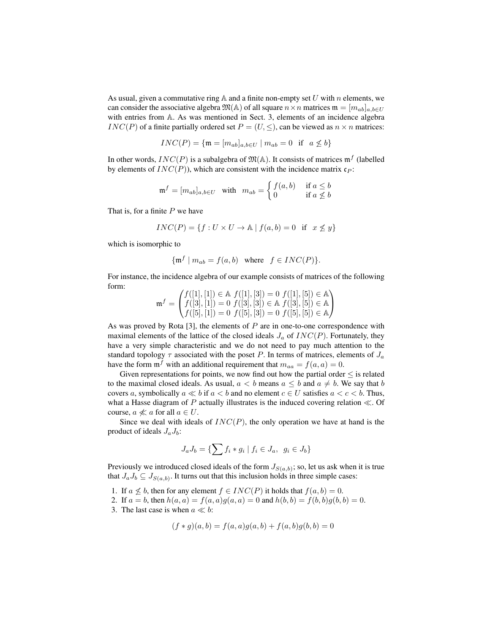As usual, given a commutative ring  $A$  and a finite non-empty set U with n elements, we can consider the associative algebra  $\mathfrak{M}(\mathbb{A})$  of all square  $n \times n$  matrices  $\mathfrak{m} = [m_{ab}]_{a,b \in U}$ with entries from A. As was mentioned in Sect. 3, elements of an incidence algebra  $INC(P)$  of a finite partially ordered set  $P = (U, \leq)$ , can be viewed as  $n \times n$  matrices:

$$
INC(P) = \{ \mathfrak{m} = [m_{ab}]_{a,b \in U} \mid m_{ab} = 0 \text{ if } a \nleq b \}
$$

In other words,  $INC(P)$  is a subalgebra of  $\mathfrak{M}(\mathbb{A})$ . It consists of matrices  $\mathfrak{m}^f$  (labelled by elements of  $INC(P)$ , which are consistent with the incidence matrix  $c_P$ :

$$
\mathfrak{m}^f = [m_{ab}]_{a,b \in U} \quad \text{with} \quad m_{ab} = \begin{cases} f(a,b) & \text{if } a \leq b \\ 0 & \text{if } a \not\leq b \end{cases}
$$

That is, for a finite  $P$  we have

$$
INC(P) = \{ f : U \times U \to \mathbb{A} \mid f(a, b) = 0 \text{ if } x \not\leq y \}
$$

which is isomorphic to

$$
\{\mathfrak{m}^f \mid m_{ab} = f(a, b) \text{ where } f \in INC(P)\}.
$$

For instance, the incidence algebra of our example consists of matrices of the following form:

$$
\mathfrak{m}^f = \begin{pmatrix} f([1],[1]) \in \mathbb{A} \ f([1],[3]) = 0 \ f([1],[5]) \in \mathbb{A} \\ f([3],[1]) = 0 \ f([3],[3]) \in \mathbb{A} \ f([3],[5]) \in \mathbb{A} \\ f([5],[1]) = 0 \ f([5],[3]) = 0 \ f([5],[5]) \in \mathbb{A} \end{pmatrix}
$$

As was proved by Rota  $[3]$ , the elements of  $P$  are in one-to-one correspondence with maximal elements of the lattice of the closed ideals  $J_a$  of  $INC(P)$ . Fortunately, they have a very simple characteristic and we do not need to pay much attention to the standard topology  $\tau$  associated with the poset P. In terms of matrices, elements of  $J_a$ have the form  $\mathfrak{m}^f$  with an additional requirement that  $m_{aa} = f(a, a) = 0$ .

Given representations for points, we now find out how the partial order  $\leq$  is related to the maximal closed ideals. As usual,  $a < b$  means  $a \leq b$  and  $a \neq b$ . We say that b covers a, symbolically  $a \ll b$  if  $a < b$  and no element  $c \in U$  satisfies  $a < c < b$ . Thus, what a Hasse diagram of P actually illustrates is the induced covering relation  $\ll$ . Of course,  $a \nless a$  for all  $a \in U$ .

Since we deal with ideals of  $INC(P)$ , the only operation we have at hand is the product of ideals  $J_a J_b$ :

$$
J_a J_b = \{ \sum f_i * g_i \mid f_i \in J_a, \ g_i \in J_b \}
$$

Previously we introduced closed ideals of the form  $J_{S(a,b)}$ ; so, let us ask when it is true that  $J_a J_b \subseteq J_{S(a,b)}$ . It turns out that this inclusion holds in three simple cases:

1. If  $a \nleq b$ , then for any element  $f \in INC(P)$  it holds that  $f(a, b) = 0$ .

2. If  $a = b$ , then  $h(a, a) = f(a, a)g(a, a) = 0$  and  $h(b, b) = f(b, b)g(b, b) = 0$ .

3. The last case is when  $a \ll b$ :

$$
(f * g)(a, b) = f(a, a)g(a, b) + f(a, b)g(b, b) = 0
$$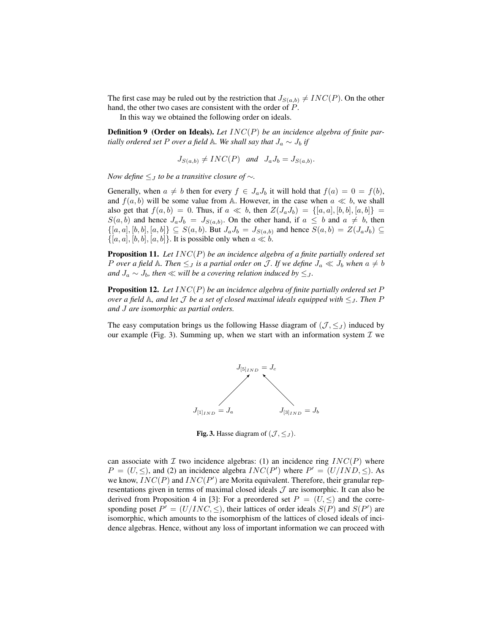The first case may be ruled out by the restriction that  $J_{S(a,b)} \neq INC(P)$ . On the other hand, the other two cases are consistent with the order of P.

In this way we obtained the following order on ideals.

**Definition 9** (Order on Ideals). Let  $INC(P)$  be an incidence algebra of finite par*tially ordered set* P *over a field* A*. We shall say that*  $J_a \sim J_b$  *if* 

$$
J_{S(a,b)} \neq INC(P) \quad and \quad J_aJ_b = J_{S(a,b)}.
$$

*Now define* ≤<sup>J</sup> *to be a transitive closure of* ∼*.*

Generally, when  $a \neq b$  then for every  $f \in J_aJ_b$  it will hold that  $f(a) = 0 = f(b)$ , and  $f(a, b)$  will be some value from A. However, in the case when  $a \ll b$ , we shall also get that  $f(a, b) = 0$ . Thus, if  $a \ll b$ , then  $Z(J_a J_b) = \{[a, a], [b, b], [a, b]\}$  $S(a, b)$  and hence  $J_a J_b = J_{S(a, b)}$ . On the other hand, if  $a \leq b$  and  $a \neq b$ , then  $\{[a, a], [b, b], [a, b]\} \subseteq S(a, b)$ . But  $J_a J_b = J_{S(a, b)}$  and hence  $S(a, b) = Z(J_a J_b) \subseteq$  $\{[a, a], [b, b], [a, b]\}.$  It is possible only when  $a \ll b$ .

Proposition 11. *Let* INC(P) *be an incidence algebra of a finite partially ordered set P* over a field A. Then  $\leq J$  *is a partial order on* J. If we define  $J_a \ll J_b$  when  $a \neq b$ *and*  $J_a$  ∼  $J_b$ *, then* ≪ *will be a covering relation induced by*  $\leq_J$ *.* 

Proposition 12. *Let* INC(P) *be an incidence algebra of finite partially ordered set* P *over a field*  $\mathbb A$ *, and let*  $\mathcal J$  *be a set of closed maximal ideals equipped with*  $\leq_J$ *. Then*  $P$ *and* J *are isomorphic as partial orders.*

The easy computation brings us the following Hasse diagram of  $(\mathcal{J}, \leq_J)$  induced by our example (Fig. 3). Summing up, when we start with an information system  $\mathcal I$  we



Fig. 3. Hasse diagram of  $(\mathcal{J}, \leq J)$ .

can associate with  $\mathcal I$  two incidence algebras: (1) an incidence ring  $INC(P)$  where  $P = (U, \leq)$ , and (2) an incidence algebra  $INC(P')$  where  $P' = (U/IND, \leq)$ . As we know,  $INC(P)$  and  $INC(P')$  are Morita equivalent. Therefore, their granular representations given in terms of maximal closed ideals  $J$  are isomorphic. It can also be derived from Proposition 4 in [3]: For a preordered set  $P = (U, \leq)$  and the corresponding poset  $P' = (U/INC, \leq)$ , their lattices of order ideals  $S(P)$  and  $S(P')$  are isomorphic, which amounts to the isomorphism of the lattices of closed ideals of incidence algebras. Hence, without any loss of important information we can proceed with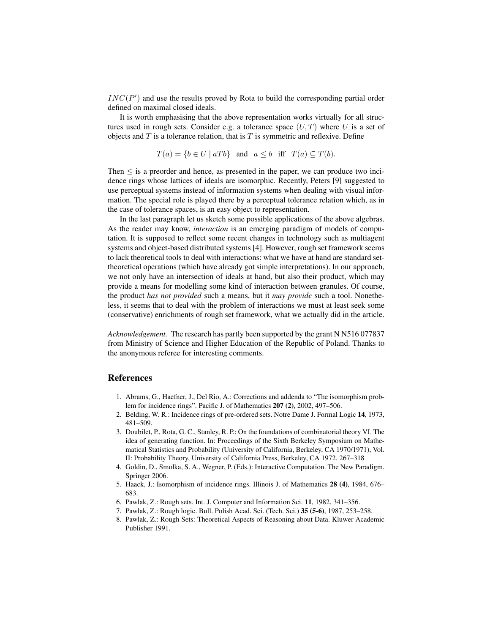$INC(P')$  and use the results proved by Rota to build the corresponding partial order defined on maximal closed ideals.

It is worth emphasising that the above representation works virtually for all structures used in rough sets. Consider e.g. a tolerance space  $(U, T)$  where U is a set of objects and  $T$  is a tolerance relation, that is  $T$  is symmetric and reflexive. Define

$$
T(a) = \{b \in U \mid aTb\} \text{ and } a \le b \text{ iff } T(a) \subseteq T(b).
$$

Then  $\leq$  is a preorder and hence, as presented in the paper, we can produce two incidence rings whose lattices of ideals are isomorphic. Recently, Peters [9] suggested to use perceptual systems instead of information systems when dealing with visual information. The special role is played there by a perceptual tolerance relation which, as in the case of tolerance spaces, is an easy object to representation.

In the last paragraph let us sketch some possible applications of the above algebras. As the reader may know, *interaction* is an emerging paradigm of models of computation. It is supposed to reflect some recent changes in technology such as multiagent systems and object-based distributed systems [4]. However, rough set framework seems to lack theoretical tools to deal with interactions: what we have at hand are standard settheoretical operations (which have already got simple interpretations). In our approach, we not only have an intersection of ideals at hand, but also their product, which may provide a means for modelling some kind of interaction between granules. Of course, the product *has not provided* such a means, but it *may provide* such a tool. Nonetheless, it seems that to deal with the problem of interactions we must at least seek some (conservative) enrichments of rough set framework, what we actually did in the article.

*Acknowledgement.* The research has partly been supported by the grant N N516 077837 from Ministry of Science and Higher Education of the Republic of Poland. Thanks to the anonymous referee for interesting comments.

#### References

- 1. Abrams, G., Haefner, J., Del Rio, A.: Corrections and addenda to "The isomorphism problem for incidence rings". Pacific J. of Mathematics 207 (2), 2002, 497–506.
- 2. Belding, W. R.: Incidence rings of pre-ordered sets. Notre Dame J. Formal Logic 14, 1973, 481–509.
- 3. Doubilet, P., Rota, G. C., Stanley, R. P.: On the foundations of combinatorial theory VI. The idea of generating function. In: Proceedings of the Sixth Berkeley Symposium on Mathematical Statistics and Probability (University of California, Berkeley, CA 1970/1971), Vol. II: Probability Theory, University of California Press, Berkeley, CA 1972. 267–318
- 4. Goldin, D., Smolka, S. A., Wegner, P. (Eds.): Interactive Computation. The New Paradigm. Springer 2006.
- 5. Haack, J.: Isomorphism of incidence rings. Illinois J. of Mathematics 28 (4), 1984, 676– 683.
- 6. Pawlak, Z.: Rough sets. Int. J. Computer and Information Sci. 11, 1982, 341–356.
- 7. Pawlak, Z.: Rough logic. Bull. Polish Acad. Sci. (Tech. Sci.) 35 (5-6), 1987, 253–258.
- 8. Pawlak, Z.: Rough Sets: Theoretical Aspects of Reasoning about Data. Kluwer Academic Publisher 1991.